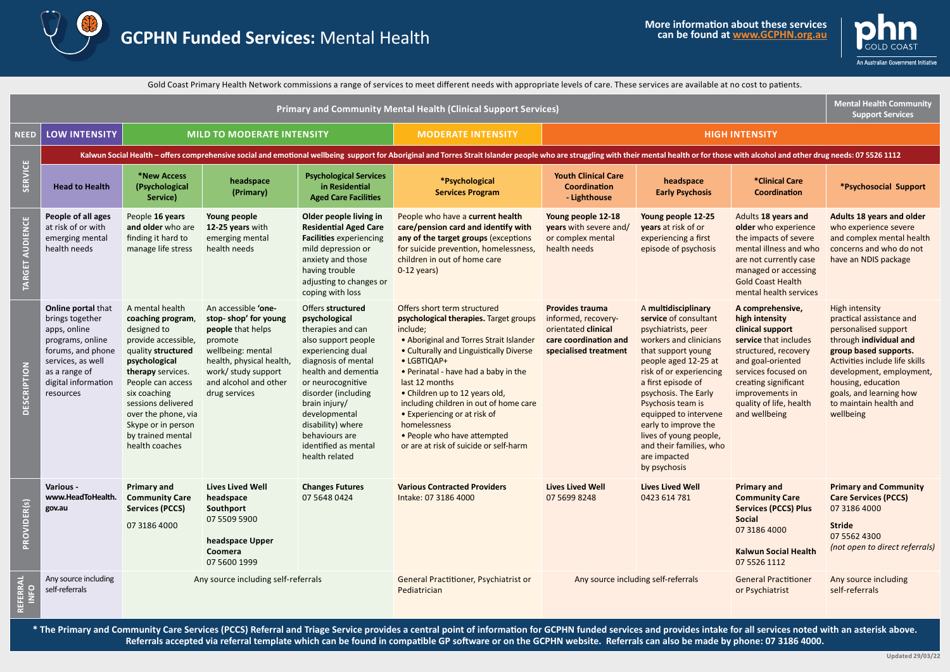



Gold Coast Primary Health Network commissions a range of services to meet different needs with appropriate levels of care. These services are available at no cost to patients.

| <b>Primary and Community Mental Health (Clinical Support Services)</b> |                                                                                                                                                                                                                                |                                                                                                                                                                                                                                                                                       |                                                                                                                                                                                               |                                                                                                                                                                                                                                                                                                                  |                                                                                                                                                                                                                                                                                                                                                                                                                                                        |                                                                                                                        |                                                                                                                                                                                                                                                                                                                                                                                 |                                                                                                                                                                                                                                            | <b>Mental Health Community</b><br><b>Support Services</b>                                                                                                                                                                                                                          |  |  |
|------------------------------------------------------------------------|--------------------------------------------------------------------------------------------------------------------------------------------------------------------------------------------------------------------------------|---------------------------------------------------------------------------------------------------------------------------------------------------------------------------------------------------------------------------------------------------------------------------------------|-----------------------------------------------------------------------------------------------------------------------------------------------------------------------------------------------|------------------------------------------------------------------------------------------------------------------------------------------------------------------------------------------------------------------------------------------------------------------------------------------------------------------|--------------------------------------------------------------------------------------------------------------------------------------------------------------------------------------------------------------------------------------------------------------------------------------------------------------------------------------------------------------------------------------------------------------------------------------------------------|------------------------------------------------------------------------------------------------------------------------|---------------------------------------------------------------------------------------------------------------------------------------------------------------------------------------------------------------------------------------------------------------------------------------------------------------------------------------------------------------------------------|--------------------------------------------------------------------------------------------------------------------------------------------------------------------------------------------------------------------------------------------|------------------------------------------------------------------------------------------------------------------------------------------------------------------------------------------------------------------------------------------------------------------------------------|--|--|
| <b>NEED</b>                                                            | <b>LOW INTENSITY</b><br><b>MILD TO MODERATE INTENSITY</b>                                                                                                                                                                      |                                                                                                                                                                                                                                                                                       | <b>MODERATE INTENSITY</b>                                                                                                                                                                     | <b>HIGH INTENSITY</b>                                                                                                                                                                                                                                                                                            |                                                                                                                                                                                                                                                                                                                                                                                                                                                        |                                                                                                                        |                                                                                                                                                                                                                                                                                                                                                                                 |                                                                                                                                                                                                                                            |                                                                                                                                                                                                                                                                                    |  |  |
| <b>SERVICE</b>                                                         | Kalwun Social Health - offers comprehensive social and emotional wellbeing support for Aboriginal and Torres Strait Islander people who are struggling with their mental health or for those with alcohol and other drug needs |                                                                                                                                                                                                                                                                                       |                                                                                                                                                                                               |                                                                                                                                                                                                                                                                                                                  |                                                                                                                                                                                                                                                                                                                                                                                                                                                        |                                                                                                                        |                                                                                                                                                                                                                                                                                                                                                                                 |                                                                                                                                                                                                                                            |                                                                                                                                                                                                                                                                                    |  |  |
|                                                                        | <b>Head to Health</b>                                                                                                                                                                                                          | *New Access<br>(Psychological<br>Service)                                                                                                                                                                                                                                             | headspace<br>(Primary)                                                                                                                                                                        | <b>Psychological Services</b><br>in Residential<br><b>Aged Care Facilities</b>                                                                                                                                                                                                                                   | *Psychological<br><b>Services Program</b>                                                                                                                                                                                                                                                                                                                                                                                                              | <b>Youth Clinical Care</b><br><b>Coordination</b><br>- Lighthouse                                                      | headspace<br><b>Early Psychosis</b>                                                                                                                                                                                                                                                                                                                                             | *Clinical Care<br><b>Coordination</b>                                                                                                                                                                                                      | *Psychosocial Support                                                                                                                                                                                                                                                              |  |  |
| TARGET AUDIENCE                                                        | People of all ages<br>at risk of or with<br>emerging mental<br>health needs                                                                                                                                                    | People 16 years<br>and older who are<br>finding it hard to<br>manage life stress                                                                                                                                                                                                      | Young people<br>12-25 years with<br>emerging mental<br>health needs                                                                                                                           | Older people living in<br><b>Residential Aged Care</b><br><b>Facilities</b> experiencing<br>mild depression or<br>anxiety and those<br>having trouble<br>adjusting to changes or<br>coping with loss                                                                                                             | People who have a current health<br>care/pension card and identify with<br>any of the target groups (exceptions<br>for suicide prevention, homelessness,<br>children in out of home care<br>$0-12$ years)                                                                                                                                                                                                                                              | Young people 12-18<br><b>years</b> with severe and/<br>or complex mental<br>health needs                               | Young people 12-25<br><b>years</b> at risk of or<br>experiencing a first<br>episode of psychosis                                                                                                                                                                                                                                                                                | Adults 18 years and<br>older who experience<br>the impacts of severe<br>mental illness and who<br>are not currently case<br>managed or accessing<br><b>Gold Coast Health</b><br>mental health services                                     | Adults 18 years and older<br>who experience severe<br>and complex mental health<br>concerns and who do not<br>have an NDIS package                                                                                                                                                 |  |  |
| DESCRIPTION                                                            | <b>Online portal that</b><br>brings together<br>apps, online<br>programs, online<br>forums, and phone<br>services, as well<br>as a range of<br>digital information<br>resources                                                | A mental health<br>coaching program,<br>designed to<br>provide accessible,<br>quality structured<br>psychological<br>therapy services.<br>People can access<br>six coaching<br>sessions delivered<br>over the phone, via<br>Skype or in person<br>by trained mental<br>health coaches | An accessible 'one-<br>stop-shop' for young<br>people that helps<br>promote<br>wellbeing: mental<br>health, physical health,<br>work/ study support<br>and alcohol and other<br>drug services | Offers structured<br>psychological<br>therapies and can<br>also support people<br>experiencing dual<br>diagnosis of mental<br>health and dementia<br>or neurocognitive<br>disorder (including<br>brain injury/<br>developmental<br>disability) where<br>behaviours are<br>identified as mental<br>health related | Offers short term structured<br>psychological therapies. Target groups<br>include;<br>• Aboriginal and Torres Strait Islander<br>• Culturally and Linguistically Diverse<br>• LGBTIQAP+<br>• Perinatal - have had a baby in the<br>last 12 months<br>• Children up to 12 years old,<br>including children in out of home care<br>• Experiencing or at risk of<br>homelessness<br>• People who have attempted<br>or are at risk of suicide or self-harm | <b>Provides trauma</b><br>informed, recovery-<br>orientated clinical<br>care coordination and<br>specialised treatment | A multidisciplinary<br>service of consultant<br>psychiatrists, peer<br>workers and clinicians<br>that support young<br>people aged 12-25 at<br>risk of or experiencing<br>a first episode of<br>psychosis. The Early<br>Psychosis team is<br>equipped to intervene<br>early to improve the<br>lives of young people,<br>and their families, who<br>are impacted<br>by psychosis | A comprehensive,<br>high intensity<br>clinical support<br>service that includes<br>structured, recovery<br>and goal-oriented<br>services focused on<br>creating significant<br>improvements in<br>quality of life, health<br>and wellbeing | <b>High intensity</b><br>practical assistance and<br>personalised support<br>through individual and<br>group based supports.<br>Activities include life skills<br>development, employment,<br>housing, education<br>goals, and learning how<br>to maintain health and<br>wellbeing |  |  |
| PROVIDER(s)                                                            | Various -<br>www.HeadToHealth.<br>gov.au                                                                                                                                                                                       | <b>Primary and</b><br><b>Community Care</b><br><b>Services (PCCS)</b><br>07 3186 4000                                                                                                                                                                                                 | <b>Lives Lived Well</b><br>headspace<br>Southport<br>07 5509 5900<br>headspace Upper<br>Coomera<br>07 5600 1999                                                                               | <b>Changes Futures</b><br>07 5648 0424                                                                                                                                                                                                                                                                           | <b>Various Contracted Providers</b><br>Intake: 07 3186 4000                                                                                                                                                                                                                                                                                                                                                                                            | <b>Lives Lived Well</b><br>07 5699 8248                                                                                | <b>Lives Lived Well</b><br>0423 614 781                                                                                                                                                                                                                                                                                                                                         | <b>Primary and</b><br><b>Community Care</b><br><b>Services (PCCS) Plus</b><br><b>Social</b><br>07 3186 4000<br><b>Kalwun Social Health</b><br>07 5526 1112                                                                                 | <b>Primary and Community</b><br><b>Care Services (PCCS)</b><br>07 3186 4000<br><b>Stride</b><br>07 5562 4300<br>(not open to direct referrals)                                                                                                                                     |  |  |
| REFERRAL<br>$\frac{1}{2}$                                              | Any source including<br>self-referrals                                                                                                                                                                                         | Any source including self-referrals                                                                                                                                                                                                                                                   |                                                                                                                                                                                               | General Practitioner, Psychiatrist or<br>Pediatrician                                                                                                                                                                                                                                                            | Any source including self-referrals<br><b>General Practitioner</b><br>or Psychiatrist                                                                                                                                                                                                                                                                                                                                                                  |                                                                                                                        | Any source including<br>self-referrals                                                                                                                                                                                                                                                                                                                                          |                                                                                                                                                                                                                                            |                                                                                                                                                                                                                                                                                    |  |  |

**\* The Primary and Community Care Services (PCCS) Referral and Triage Service provides a central point of information for GCPHN funded services and provides intake for all services noted with an asterisk above. Referrals accepted via referral template which can be found in compatible GP software or on the GCPHN website. Referrals can also be made by phone: 07 3186 4000.**